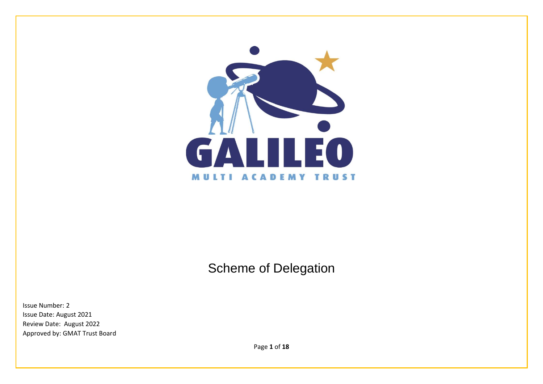

# Scheme of Delegation

Issue Number: 2 Issue Date: August 2021 Review Date: August 2022 Approved by: GMAT Trust Board

Page **1** of **18**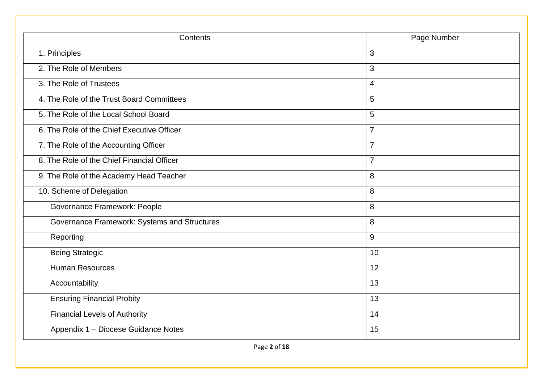| Contents                                     | Page Number    |
|----------------------------------------------|----------------|
| 1. Principles                                | 3              |
| 2. The Role of Members                       | 3              |
| 3. The Role of Trustees                      | $\overline{4}$ |
| 4. The Role of the Trust Board Committees    | 5              |
| 5. The Role of the Local School Board        | 5              |
| 6. The Role of the Chief Executive Officer   | $\overline{7}$ |
| 7. The Role of the Accounting Officer        | $\overline{7}$ |
| 8. The Role of the Chief Financial Officer   | $\overline{7}$ |
| 9. The Role of the Academy Head Teacher      | 8              |
| 10. Scheme of Delegation                     | 8              |
| Governance Framework: People                 | 8              |
| Governance Framework: Systems and Structures | 8              |
| Reporting                                    | 9              |
| <b>Being Strategic</b>                       | 10             |
| <b>Human Resources</b>                       | 12             |
| Accountability                               | 13             |
| <b>Ensuring Financial Probity</b>            | 13             |
| <b>Financial Levels of Authority</b>         | 14             |
| Appendix 1 - Diocese Guidance Notes          | 15             |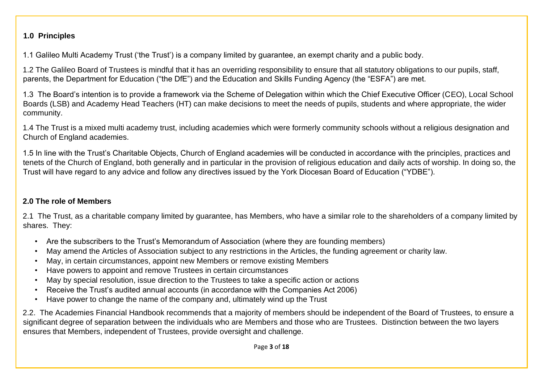#### **1.0 Principles**

1.1 Galileo Multi Academy Trust ('the Trust') is a company limited by guarantee, an exempt charity and a public body.

1.2 The Galileo Board of Trustees is mindful that it has an overriding responsibility to ensure that all statutory obligations to our pupils, staff, parents, the Department for Education ("the DfE") and the Education and Skills Funding Agency (the "ESFA") are met.

1.3 The Board's intention is to provide a framework via the Scheme of Delegation within which the Chief Executive Officer (CEO), Local School Boards (LSB) and Academy Head Teachers (HT) can make decisions to meet the needs of pupils, students and where appropriate, the wider community.

1.4 The Trust is a mixed multi academy trust, including academies which were formerly community schools without a religious designation and Church of England academies.

1.5 In line with the Trust's Charitable Objects, Church of England academies will be conducted in accordance with the principles, practices and tenets of the Church of England, both generally and in particular in the provision of religious education and daily acts of worship. In doing so, the Trust will have regard to any advice and follow any directives issued by the York Diocesan Board of Education ("YDBE").

## **2.0 The role of Members**

2.1 The Trust, as a charitable company limited by guarantee, has Members, who have a similar role to the shareholders of a company limited by shares. They:

- Are the subscribers to the Trust's Memorandum of Association (where they are founding members)
- May amend the Articles of Association subject to any restrictions in the Articles, the funding agreement or charity law.
- May, in certain circumstances, appoint new Members or remove existing Members
- Have powers to appoint and remove Trustees in certain circumstances
- May by special resolution, issue direction to the Trustees to take a specific action or actions
- Receive the Trust's audited annual accounts (in accordance with the Companies Act 2006)
- Have power to change the name of the company and, ultimately wind up the Trust

2.2. The Academies Financial Handbook recommends that a majority of members should be independent of the Board of Trustees, to ensure a significant degree of separation between the individuals who are Members and those who are Trustees. Distinction between the two layers ensures that Members, independent of Trustees, provide oversight and challenge.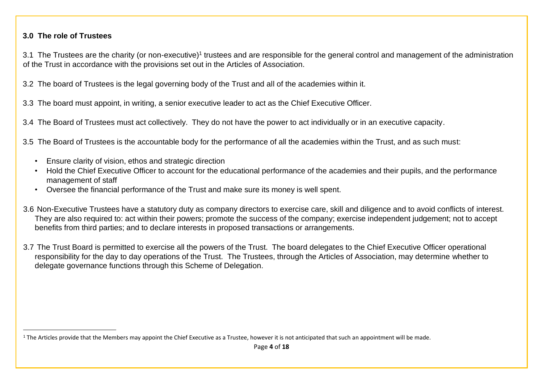#### **3.0 The role of Trustees**

3.1 The Trustees are the charity (or non-executive)<sup>1</sup> trustees and are responsible for the general control and management of the administration of the Trust in accordance with the provisions set out in the Articles of Association.

3.2 The board of Trustees is the legal governing body of the Trust and all of the academies within it.

3.3 The board must appoint, in writing, a senior executive leader to act as the Chief Executive Officer.

3.4 The Board of Trustees must act collectively. They do not have the power to act individually or in an executive capacity.

3.5 The Board of Trustees is the accountable body for the performance of all the academies within the Trust, and as such must:

- Ensure clarity of vision, ethos and strategic direction
- Hold the Chief Executive Officer to account for the educational performance of the academies and their pupils, and the performance management of staff
- Oversee the financial performance of the Trust and make sure its money is well spent.
- 3.6 Non-Executive Trustees have a statutory duty as company directors to exercise care, skill and diligence and to avoid conflicts of interest. They are also required to: act within their powers; promote the success of the company; exercise independent judgement; not to accept benefits from third parties; and to declare interests in proposed transactions or arrangements.
- 3.7 The Trust Board is permitted to exercise all the powers of the Trust. The board delegates to the Chief Executive Officer operational responsibility for the day to day operations of the Trust. The Trustees, through the Articles of Association, may determine whether to delegate governance functions through this Scheme of Delegation.

 $1$  The Articles provide that the Members may appoint the Chief Executive as a Trustee, however it is not anticipated that such an appointment will be made.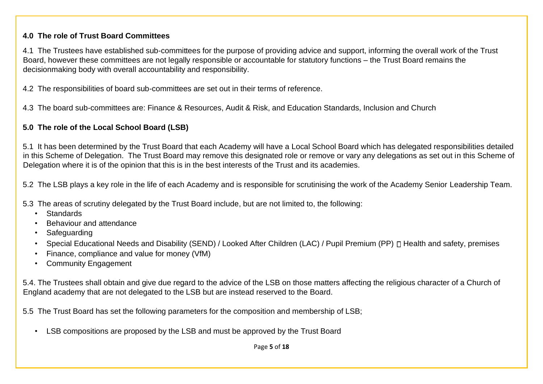#### **4.0 The role of Trust Board Committees**

4.1 The Trustees have established sub-committees for the purpose of providing advice and support, informing the overall work of the Trust Board, however these committees are not legally responsible or accountable for statutory functions – the Trust Board remains the decisionmaking body with overall accountability and responsibility.

4.2 The responsibilities of board sub-committees are set out in their terms of reference.

4.3 The board sub-committees are: Finance & Resources, Audit & Risk, and Education Standards, Inclusion and Church

### **5.0 The role of the Local School Board (LSB)**

5.1 It has been determined by the Trust Board that each Academy will have a Local School Board which has delegated responsibilities detailed in this Scheme of Delegation. The Trust Board may remove this designated role or remove or vary any delegations as set out in this Scheme of Delegation where it is of the opinion that this is in the best interests of the Trust and its academies.

5.2 The LSB plays a key role in the life of each Academy and is responsible for scrutinising the work of the Academy Senior Leadership Team.

5.3 The areas of scrutiny delegated by the Trust Board include, but are not limited to, the following:

- Standards
- Behaviour and attendance
- **Safeguarding**
- Special Educational Needs and Disability (SEND) / Looked After Children (LAC) / Pupil Premium (PP)  $\Box$  Health and safety, premises
- Finance, compliance and value for money (VfM)
- Community Engagement

5.4. The Trustees shall obtain and give due regard to the advice of the LSB on those matters affecting the religious character of a Church of England academy that are not delegated to the LSB but are instead reserved to the Board.

5.5 The Trust Board has set the following parameters for the composition and membership of LSB;

• LSB compositions are proposed by the LSB and must be approved by the Trust Board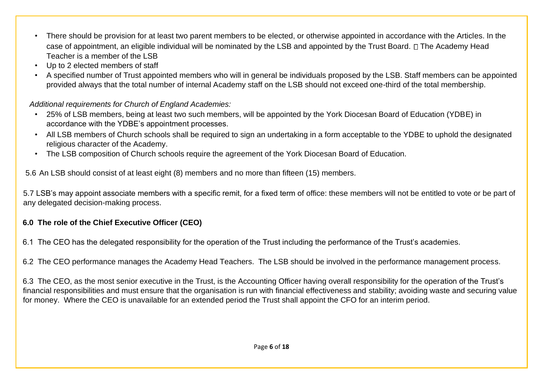- There should be provision for at least two parent members to be elected, or otherwise appointed in accordance with the Articles. In the case of appointment, an eligible individual will be nominated by the LSB and appointed by the Trust Board.  $\Box$  The Academy Head Teacher is a member of the LSB
- Up to 2 elected members of staff
- A specified number of Trust appointed members who will in general be individuals proposed by the LSB. Staff members can be appointed provided always that the total number of internal Academy staff on the LSB should not exceed one-third of the total membership.

## *Additional requirements for Church of England Academies:*

- 25% of LSB members, being at least two such members, will be appointed by the York Diocesan Board of Education (YDBE) in accordance with the YDBE's appointment processes.
- All LSB members of Church schools shall be required to sign an undertaking in a form acceptable to the YDBE to uphold the designated religious character of the Academy.
- The LSB composition of Church schools require the agreement of the York Diocesan Board of Education.

5.6 An LSB should consist of at least eight (8) members and no more than fifteen (15) members.

5.7 LSB's may appoint associate members with a specific remit, for a fixed term of office: these members will not be entitled to vote or be part of any delegated decision-making process.

## **6.0 The role of the Chief Executive Officer (CEO)**

6.1 The CEO has the delegated responsibility for the operation of the Trust including the performance of the Trust's academies.

6.2 The CEO performance manages the Academy Head Teachers. The LSB should be involved in the performance management process.

6.3 The CEO, as the most senior executive in the Trust, is the Accounting Officer having overall responsibility for the operation of the Trust's financial responsibilities and must ensure that the organisation is run with financial effectiveness and stability; avoiding waste and securing value for money. Where the CEO is unavailable for an extended period the Trust shall appoint the CFO for an interim period.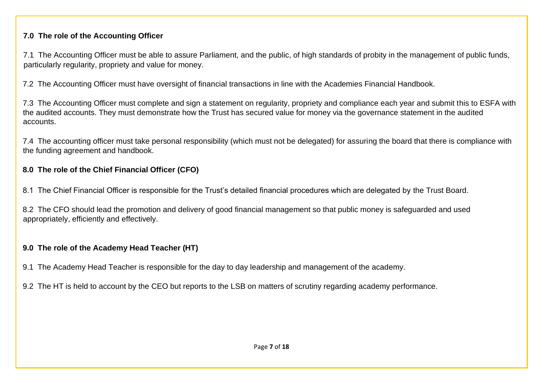### **7.0 The role of the Accounting Officer**

7.1 The Accounting Officer must be able to assure Parliament, and the public, of high standards of probity in the management of public funds, particularly regularity, propriety and value for money.

7.2 The Accounting Officer must have oversight of financial transactions in line with the Academies Financial Handbook.

7.3 The Accounting Officer must complete and sign a statement on regularity, propriety and compliance each year and submit this to ESFA with the audited accounts. They must demonstrate how the Trust has secured value for money via the governance statement in the audited accounts.

7.4 The accounting officer must take personal responsibility (which must not be delegated) for assuring the board that there is compliance with the funding agreement and handbook.

## **8.0 The role of the Chief Financial Officer (CFO)**

8.1 The Chief Financial Officer is responsible for the Trust's detailed financial procedures which are delegated by the Trust Board.

8.2 The CFO should lead the promotion and delivery of good financial management so that public money is safeguarded and used appropriately, efficiently and effectively.

## **9.0 The role of the Academy Head Teacher (HT)**

9.1 The Academy Head Teacher is responsible for the day to day leadership and management of the academy.

9.2 The HT is held to account by the CEO but reports to the LSB on matters of scrutiny regarding academy performance.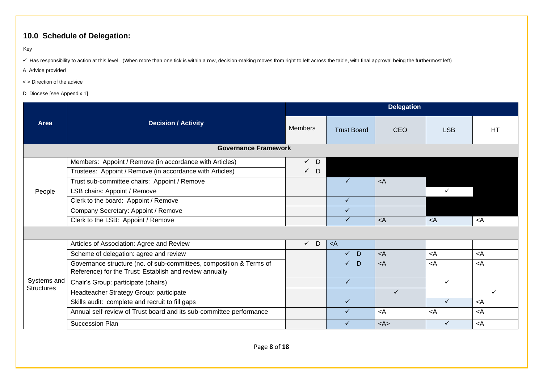## **10.0 Schedule of Delegation:**

Key

√ Has responsibility to action at this level (When more than one tick is within a row, decision-making moves from right to left across the table, with final approval being the furthermost left)

A Advice provided

- < > Direction of the advice
- D Diocese [see Appendix 1]

|                   |                                                                                                                                | <b>Delegation</b> |                    |                         |                                         |                 |  |  |  |
|-------------------|--------------------------------------------------------------------------------------------------------------------------------|-------------------|--------------------|-------------------------|-----------------------------------------|-----------------|--|--|--|
| Area              | <b>Decision / Activity</b>                                                                                                     | <b>Members</b>    | <b>Trust Board</b> | <b>CEO</b>              | <b>LSB</b>                              | <b>HT</b>       |  |  |  |
|                   | <b>Governance Framework</b>                                                                                                    |                   |                    |                         |                                         |                 |  |  |  |
|                   | Members: Appoint / Remove (in accordance with Articles)                                                                        | $\checkmark$ D    |                    |                         |                                         |                 |  |  |  |
|                   | Trustees: Appoint / Remove (in accordance with Articles)                                                                       | $\checkmark$ D    |                    |                         |                                         |                 |  |  |  |
|                   | Trust sub-committee chairs: Appoint / Remove                                                                                   |                   | $\checkmark$       | $\langle A$             |                                         |                 |  |  |  |
| People            | LSB chairs: Appoint / Remove                                                                                                   |                   |                    |                         |                                         |                 |  |  |  |
|                   | Clerk to the board: Appoint / Remove                                                                                           |                   | $\checkmark$       |                         |                                         |                 |  |  |  |
|                   | Company Secretary: Appoint / Remove                                                                                            |                   | $\checkmark$       |                         |                                         |                 |  |  |  |
|                   | Clerk to the LSB: Appoint / Remove                                                                                             |                   | $\checkmark$       | $\leq$ A                | $\prec$ A                               | <a< td=""></a<> |  |  |  |
|                   |                                                                                                                                |                   |                    |                         |                                         |                 |  |  |  |
|                   | Articles of Association: Agree and Review                                                                                      | $\checkmark$ D    | $\langle A$        |                         |                                         |                 |  |  |  |
|                   | Scheme of delegation: agree and review                                                                                         |                   | $\checkmark$<br>D  | $\lt$ A                 | $\prec$ A                               | <a< td=""></a<> |  |  |  |
|                   | Governance structure (no. of sub-committees, composition & Terms of<br>Reference) for the Trust: Establish and review annually |                   | D<br>$\checkmark$  | $\lt$ A                 | $\prec$ A                               | $\prec$ A       |  |  |  |
| Systems and       | Chair's Group: participate (chairs)                                                                                            |                   | $\checkmark$       |                         | ✓                                       |                 |  |  |  |
| <b>Structures</b> | Headteacher Strategy Group: participate                                                                                        |                   |                    | $\checkmark$            |                                         | $\checkmark$    |  |  |  |
|                   | Skills audit: complete and recruit to fill gaps                                                                                |                   | $\checkmark$       |                         | $\checkmark$                            | <a< td=""></a<> |  |  |  |
|                   | Annual self-review of Trust board and its sub-committee performance                                                            |                   | $\checkmark$       | $\prec$ A               | <a< td=""><td><a< td=""></a<></td></a<> | <a< td=""></a<> |  |  |  |
|                   | Succession Plan                                                                                                                |                   | ✓                  | $<\mathsf{A}\mathsf{>}$ | $\checkmark$                            | <a< td=""></a<> |  |  |  |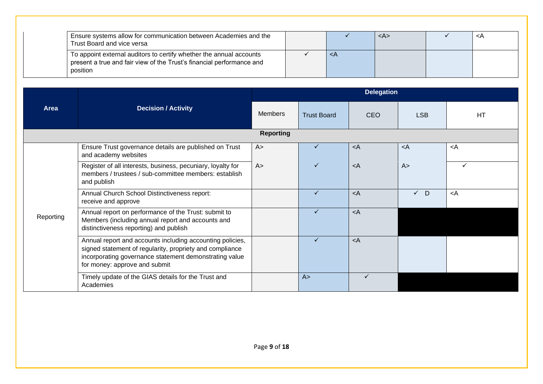| Ensure systems allow for communication between Academies and the<br>Trust Board and vice versa                                                           |          | <a></a> | ≺A |
|----------------------------------------------------------------------------------------------------------------------------------------------------------|----------|---------|----|
| To appoint external auditors to certify whether the annual accounts<br>present a true and fair view of the Trust's financial performance and<br>position | $\leq$ A |         |    |

|           |                                                                                                                                                                                                                  |                  |                    | <b>Delegation</b> |             |                 |
|-----------|------------------------------------------------------------------------------------------------------------------------------------------------------------------------------------------------------------------|------------------|--------------------|-------------------|-------------|-----------------|
| Area      | <b>Decision / Activity</b>                                                                                                                                                                                       | <b>Members</b>   | <b>Trust Board</b> | <b>CEO</b>        | <b>LSB</b>  | <b>HT</b>       |
|           |                                                                                                                                                                                                                  | <b>Reporting</b> |                    |                   |             |                 |
|           | Ensure Trust governance details are published on Trust<br>and academy websites                                                                                                                                   | A >              | ✓                  | $\langle A$       | $\langle A$ | $\prec$ A       |
|           | Register of all interests, business, pecuniary, loyalty for<br>members / trustees / sub-committee members: establish<br>and publish                                                                              | A >              | ✓                  | $\langle A$       | A >         | ✓               |
|           | Annual Church School Distinctiveness report:<br>receive and approve                                                                                                                                              |                  | ✓                  | $\langle A$       | $\sqrt{D}$  | <a< td=""></a<> |
| Reporting | Annual report on performance of the Trust: submit to<br>Members (including annual report and accounts and<br>distinctiveness reporting) and publish                                                              |                  | ✓                  | $\langle A$       |             |                 |
|           | Annual report and accounts including accounting policies,<br>signed statement of regularity, propriety and compliance<br>incorporating governance statement demonstrating value<br>for money: approve and submit |                  | ✓                  | $\prec$ A         |             |                 |
|           | Timely update of the GIAS details for the Trust and<br>Academies                                                                                                                                                 |                  | A >                | $\checkmark$      |             |                 |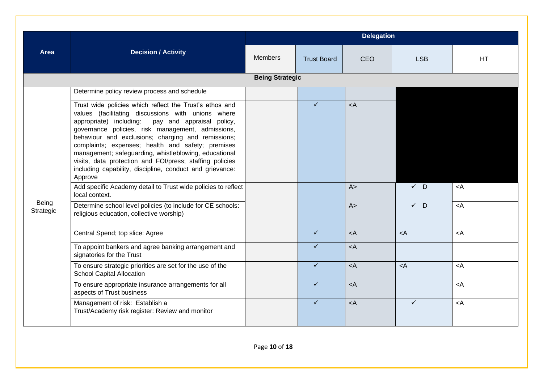|                    |                                                                                                                                                                                                                                                                                                                                                                                                                                                                                                                                                                                                                      |                        |                    | <b>Delegation</b> |                |             |
|--------------------|----------------------------------------------------------------------------------------------------------------------------------------------------------------------------------------------------------------------------------------------------------------------------------------------------------------------------------------------------------------------------------------------------------------------------------------------------------------------------------------------------------------------------------------------------------------------------------------------------------------------|------------------------|--------------------|-------------------|----------------|-------------|
| <b>Area</b>        | <b>Decision / Activity</b>                                                                                                                                                                                                                                                                                                                                                                                                                                                                                                                                                                                           | <b>Members</b>         | <b>Trust Board</b> | <b>CEO</b>        | <b>LSB</b>     | HT.         |
|                    |                                                                                                                                                                                                                                                                                                                                                                                                                                                                                                                                                                                                                      | <b>Being Strategic</b> |                    |                   |                |             |
|                    | Determine policy review process and schedule                                                                                                                                                                                                                                                                                                                                                                                                                                                                                                                                                                         |                        |                    |                   |                |             |
|                    | Trust wide policies which reflect the Trust's ethos and<br>values (facilitating discussions with unions where<br>appropriate) including:<br>pay and appraisal policy,<br>governance policies, risk management, admissions,<br>behaviour and exclusions; charging and remissions;<br>complaints; expenses; health and safety; premises<br>management; safeguarding, whistleblowing, educational<br>visits, data protection and FOI/press; staffing policies<br>including capability, discipline, conduct and grievance:<br>Approve<br>Add specific Academy detail to Trust wide policies to reflect<br>local context. |                        | ✓                  | $\prec$ A<br>A >  | $\checkmark$ D | $\prec$ A   |
| Being<br>Strategic | Determine school level policies (to include for CE schools:<br>religious education, collective worship)                                                                                                                                                                                                                                                                                                                                                                                                                                                                                                              |                        |                    | A >               | $\checkmark$ D | $\prec$ A   |
|                    | Central Spend; top slice: Agree                                                                                                                                                                                                                                                                                                                                                                                                                                                                                                                                                                                      |                        | $\checkmark$       | $<$ A             | $\leq$ A       | $\prec$ A   |
|                    | To appoint bankers and agree banking arrangement and<br>signatories for the Trust                                                                                                                                                                                                                                                                                                                                                                                                                                                                                                                                    |                        | $\checkmark$       | $\prec$ A         |                |             |
|                    | To ensure strategic priorities are set for the use of the<br><b>School Capital Allocation</b>                                                                                                                                                                                                                                                                                                                                                                                                                                                                                                                        |                        | $\checkmark$       | $<$ A             | $\leq$ A       | $\langle A$ |
|                    | To ensure appropriate insurance arrangements for all<br>aspects of Trust business                                                                                                                                                                                                                                                                                                                                                                                                                                                                                                                                    |                        | ✓                  | $<$ A             |                | $\prec$ A   |
|                    | Management of risk: Establish a<br>Trust/Academy risk register: Review and monitor                                                                                                                                                                                                                                                                                                                                                                                                                                                                                                                                   |                        | ✓                  | $\prec$ A         | $\checkmark$   | $\langle A$ |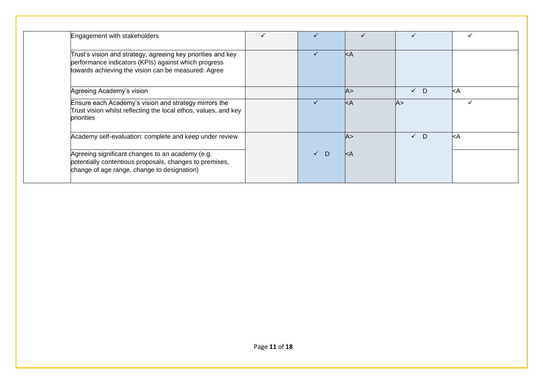| Engagement with stakeholders                                                                                                                                                |                   |                |            |                   |
|-----------------------------------------------------------------------------------------------------------------------------------------------------------------------------|-------------------|----------------|------------|-------------------|
| Trust's vision and strategy, agreeing key priorities and key<br>performance indicators (KPIs) against which progress<br>towards achieving the vision can be measured: Agree | $\checkmark$      | $\mathsf{k}$ A |            |                   |
| Agreeing Academy's vision                                                                                                                                                   |                   | A >            | $\sqrt{D}$ | l <a< td=""></a<> |
| Ensure each Academy's vision and strategy mirrors the<br>Trust vision whilst reflecting the local ethos, values, and key<br>priorities                                      | $\checkmark$      | kA             | lA>        |                   |
| Academy self-evaluation: complete and keep under review                                                                                                                     |                   | A >            | $\sqrt{D}$ | l <a< td=""></a<> |
| Agreeing significant changes to an academy (e.g.<br>potentially contentious proposals, changes to premises,<br>change of age range, change to designation)                  | $\checkmark$<br>D | $\mathsf{K}$ A |            |                   |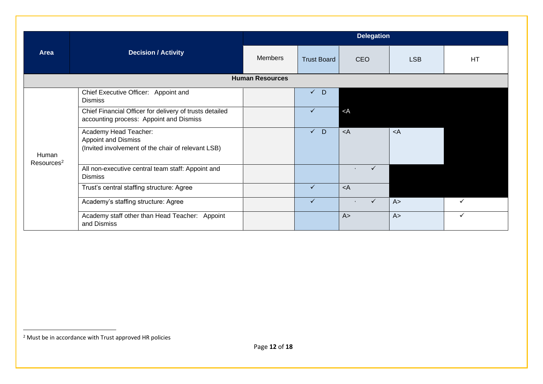|                        |                                                                                                           | <b>Delegation</b> |                    |                                          |            |              |  |  |  |
|------------------------|-----------------------------------------------------------------------------------------------------------|-------------------|--------------------|------------------------------------------|------------|--------------|--|--|--|
| Area                   | <b>Decision / Activity</b>                                                                                | <b>Members</b>    | <b>Trust Board</b> | <b>CEO</b>                               | <b>LSB</b> | <b>HT</b>    |  |  |  |
|                        | <b>Human Resources</b>                                                                                    |                   |                    |                                          |            |              |  |  |  |
|                        | Chief Executive Officer: Appoint and<br><b>Dismiss</b>                                                    |                   | $V$ D              |                                          |            |              |  |  |  |
| Human                  | Chief Financial Officer for delivery of trusts detailed<br>accounting process: Appoint and Dismiss        |                   | $\checkmark$       | $<$ A                                    |            |              |  |  |  |
|                        | Academy Head Teacher:<br><b>Appoint and Dismiss</b><br>(Invited involvement of the chair of relevant LSB) |                   | $\sqrt{D}$         | $\lt$ A                                  | $<$ A      |              |  |  |  |
| Resources <sup>2</sup> | All non-executive central team staff: Appoint and<br><b>Dismiss</b>                                       |                   |                    | $\checkmark$<br>$\mathbf{I}$             |            |              |  |  |  |
|                        | Trust's central staffing structure: Agree                                                                 |                   | $\checkmark$       | $\langle A$                              |            |              |  |  |  |
|                        | Academy's staffing structure: Agree                                                                       |                   | $\checkmark$       | $\checkmark$<br>$\overline{\phantom{a}}$ | A >        | $\checkmark$ |  |  |  |
|                        | Academy staff other than Head Teacher: Appoint<br>and Dismiss                                             |                   |                    | A >                                      | A >        | ✓            |  |  |  |

<sup>2</sup> Must be in accordance with Trust approved HR policies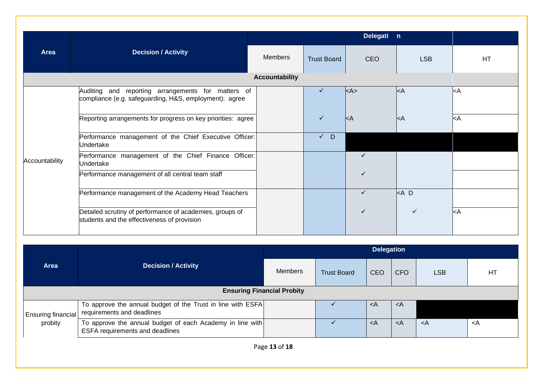|                |                                                                                                              | Delegati n     |                    |              |              |           |  |  |  |  |  |
|----------------|--------------------------------------------------------------------------------------------------------------|----------------|--------------------|--------------|--------------|-----------|--|--|--|--|--|
| Area           | <b>Decision / Activity</b>                                                                                   | <b>Members</b> | <b>Trust Board</b> | <b>CEO</b>   | <b>LSB</b>   | HT.       |  |  |  |  |  |
|                | <b>Accountability</b>                                                                                        |                |                    |              |              |           |  |  |  |  |  |
|                | Auditing and reporting arrangements for matters of<br>compliance (e.g. safeguarding, H&S, employment): agree |                |                    | kA           | kA           | kA        |  |  |  |  |  |
|                | Reporting arrangements for progress on key priorities: agree                                                 |                | $\checkmark$       | kA           | kA           | $\prec$ A |  |  |  |  |  |
|                | Performance management of the Chief Executive Officer:<br>Undertake                                          |                | D<br>$\checkmark$  |              |              |           |  |  |  |  |  |
| Accountability | Performance management of the Chief Finance Officer:<br>Undertake                                            |                |                    | $\checkmark$ |              |           |  |  |  |  |  |
|                | Performance management of all central team staff                                                             |                |                    | ✓            |              |           |  |  |  |  |  |
|                | Performance management of the Academy Head Teachers                                                          |                |                    | $\checkmark$ | $<$ A D      |           |  |  |  |  |  |
|                | Detailed scrutiny of performance of academies, groups of<br>students and the effectiveness of provision      |                |                    | ✓            | $\checkmark$ | $\prec$ A |  |  |  |  |  |

|                                      |                                                                                              |                |                                                       | <b>Delegation</b>                                                          |                                   |                                         |                 |  |
|--------------------------------------|----------------------------------------------------------------------------------------------|----------------|-------------------------------------------------------|----------------------------------------------------------------------------|-----------------------------------|-----------------------------------------|-----------------|--|
| <b>Area</b>                          | <b>Decision / Activity</b>                                                                   | <b>Members</b> | CEO<br><b>LSB</b><br><b>Trust Board</b><br><b>CFO</b> | HT                                                                         |                                   |                                         |                 |  |
| <b>Ensuring Financial Probity</b>    |                                                                                              |                |                                                       |                                                                            |                                   |                                         |                 |  |
| <b>Ensuring financial</b><br>probity | To approve the annual budget of the Trust in line with ESFA<br>requirements and deadlines    |                |                                                       | <a< td=""><td><a< td=""><td></td><td></td></a<></td></a<>                  | <a< td=""><td></td><td></td></a<> |                                         |                 |  |
|                                      | To approve the annual budget of each Academy in line with<br>ESFA requirements and deadlines |                |                                                       | <a< td=""><td>≺A</td><td><a< td=""><td><a< td=""></a<></td></a<></td></a<> | ≺A                                | <a< td=""><td><a< td=""></a<></td></a<> | <a< td=""></a<> |  |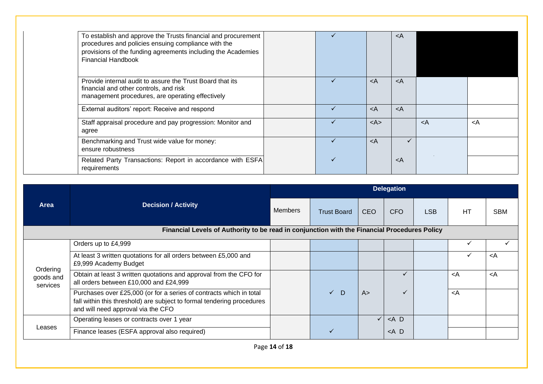| To establish and approve the Trusts financial and procurement<br>procedures and policies ensuing compliance with the<br>provisions of the funding agreements including the Academies<br><b>Financial Handbook</b> |              |                                                           | <a< th=""><th></th><th></th></a<> |           |                 |
|-------------------------------------------------------------------------------------------------------------------------------------------------------------------------------------------------------------------|--------------|-----------------------------------------------------------|-----------------------------------|-----------|-----------------|
| Provide internal audit to assure the Trust Board that its<br>financial and other controls, and risk<br>management procedures, are operating effectively                                                           |              | <a< td=""><td><a< td=""><td></td><td></td></a<></td></a<> | <a< td=""><td></td><td></td></a<> |           |                 |
| External auditors' report: Receive and respond                                                                                                                                                                    |              | $\prec$ A                                                 | $\langle A$                       |           |                 |
| Staff appraisal procedure and pay progression: Monitor and<br>agree                                                                                                                                               |              | $<\mathsf{A}\mathsf{>}$                                   |                                   | $\prec$ A | <a< td=""></a<> |
| Benchmarking and Trust wide value for money:<br>ensure robustness                                                                                                                                                 | $\checkmark$ | $\langle A$                                               |                                   |           |                 |
| Related Party Transactions: Report in accordance with ESFA<br>requirements                                                                                                                                        |              |                                                           | $\langle A$                       |           |                 |

|                                                                                              |                                                                                                                                                                                     | <b>Delegation</b> |                    |            |         |            |                                         |                 |  |
|----------------------------------------------------------------------------------------------|-------------------------------------------------------------------------------------------------------------------------------------------------------------------------------------|-------------------|--------------------|------------|---------|------------|-----------------------------------------|-----------------|--|
| Area                                                                                         | <b>Decision / Activity</b>                                                                                                                                                          | <b>Members</b>    | <b>Trust Board</b> | <b>CEO</b> | CFO     | <b>LSB</b> | HT                                      | <b>SBM</b>      |  |
| Financial Levels of Authority to be read in conjunction with the Financial Procedures Policy |                                                                                                                                                                                     |                   |                    |            |         |            |                                         |                 |  |
|                                                                                              | Orders up to £4,999                                                                                                                                                                 |                   |                    |            |         |            |                                         |                 |  |
|                                                                                              | At least 3 written quotations for all orders between £5,000 and<br>£9,999 Academy Budget                                                                                            |                   |                    |            |         |            |                                         | <a< td=""></a<> |  |
| Ordering<br>goods and<br>services                                                            | Obtain at least 3 written quotations and approval from the CFO for<br>all orders between £10,000 and £24,999                                                                        |                   |                    |            |         |            | <a< td=""><td><a< td=""></a<></td></a<> | <a< td=""></a<> |  |
|                                                                                              | Purchases over £25,000 (or for a series of contracts which in total<br>fall within this threshold) are subject to formal tendering procedures<br>and will need approval via the CFO |                   | $\checkmark$<br>D  | A >        | ✓       |            | <a< td=""><td></td></a<>                |                 |  |
| Leases                                                                                       | Operating leases or contracts over 1 year                                                                                                                                           |                   |                    | ✓          | $<$ A D |            |                                         |                 |  |
|                                                                                              | Finance leases (ESFA approval also required)                                                                                                                                        |                   | ✓                  |            | $<$ A D |            |                                         |                 |  |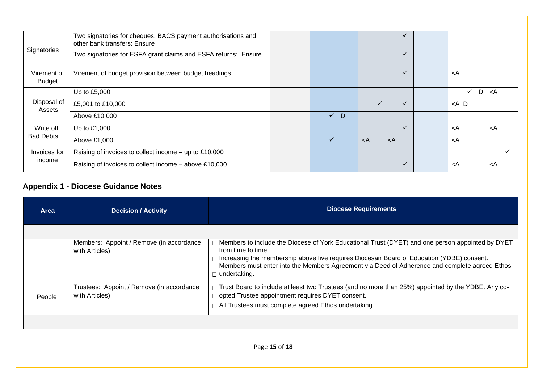| Signatories                  | Two signatories for cheques, BACS payment authorisations and<br>other bank transfers: Ensure |            |           |              |                                         |                 |
|------------------------------|----------------------------------------------------------------------------------------------|------------|-----------|--------------|-----------------------------------------|-----------------|
|                              | Two signatories for ESFA grant claims and ESFA returns: Ensure                               |            |           |              |                                         |                 |
| Virement of<br><b>Budget</b> | Virement of budget provision between budget headings                                         |            |           | $\checkmark$ | <a< td=""><td></td></a<>                |                 |
|                              | Up to £5,000                                                                                 |            |           |              | $\checkmark$<br>D                       | <a< td=""></a<> |
| Disposal of<br>Assets        | £5,001 to £10,000                                                                            |            |           |              | $<$ A D                                 |                 |
|                              | Above £10,000                                                                                | $\sqrt{D}$ |           |              |                                         |                 |
| Write off                    | Up to £1,000                                                                                 |            |           |              | <a< td=""><td><a< td=""></a<></td></a<> | <a< td=""></a<> |
| <b>Bad Debts</b>             | Above £1,000                                                                                 | ✓          | $\prec$ A | $\prec$ A    | <a< td=""><td></td></a<>                |                 |
| Invoices for                 | Raising of invoices to collect income - up to £10,000                                        |            |           |              |                                         |                 |
| income                       | Raising of invoices to collect income - above £10,000                                        |            |           |              | <a< td=""><td><a< td=""></a<></td></a<> | <a< td=""></a<> |

## **Appendix 1 - Diocese Guidance Notes**

| <b>Area</b> | <b>Decision / Activity</b>                                  | <b>Diocese Requirements</b>                                                                                                                                                                                                                                                                                                          |
|-------------|-------------------------------------------------------------|--------------------------------------------------------------------------------------------------------------------------------------------------------------------------------------------------------------------------------------------------------------------------------------------------------------------------------------|
|             |                                                             |                                                                                                                                                                                                                                                                                                                                      |
|             | Members: Appoint / Remove (in accordance<br>with Articles)  | Members to include the Diocese of York Educational Trust (DYET) and one person appointed by DYET<br>from time to time.<br>Increasing the membership above five requires Diocesan Board of Education (YDBE) consent.<br>Members must enter into the Members Agreement via Deed of Adherence and complete agreed Ethos<br>undertaking. |
| People      | Trustees: Appoint / Remove (in accordance<br>with Articles) | □ Trust Board to include at least two Trustees (and no more than 25%) appointed by the YDBE. Any co-<br>□ opted Trustee appointment requires DYET consent.<br>□ All Trustees must complete agreed Ethos undertaking                                                                                                                  |
|             |                                                             |                                                                                                                                                                                                                                                                                                                                      |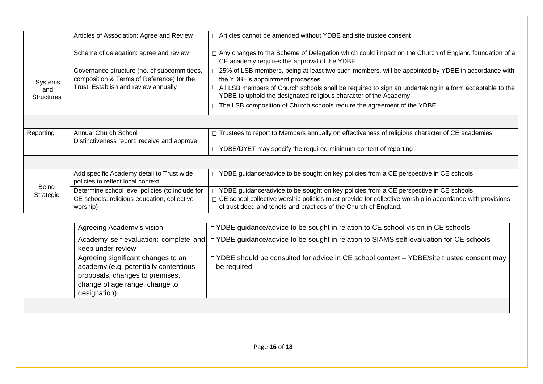|                                     | Articles of Association: Agree and Review                                                                  | $\Box$ Articles cannot be amended without YDBE and site trustee consent                                                                                                                                                                                                       |
|-------------------------------------|------------------------------------------------------------------------------------------------------------|-------------------------------------------------------------------------------------------------------------------------------------------------------------------------------------------------------------------------------------------------------------------------------|
|                                     | Scheme of delegation: agree and review                                                                     | □ Any changes to the Scheme of Delegation which could impact on the Church of England foundation of a<br>CE academy requires the approval of the YDBE                                                                                                                         |
| Systems<br>and<br><b>Structures</b> | Governance structure (no. of subcommittees,<br>composition & Terms of Reference) for the                   | □ 25% of LSB members, being at least two such members, will be appointed by YDBE in accordance with<br>the YDBE's appointment processes.                                                                                                                                      |
|                                     | Trust: Establish and review annually                                                                       | $\Box$ All LSB members of Church schools shall be required to sign an undertaking in a form acceptable to the<br>YDBE to uphold the designated religious character of the Academy.                                                                                            |
|                                     |                                                                                                            | $\Box$ The LSB composition of Church schools require the agreement of the YDBE                                                                                                                                                                                                |
|                                     |                                                                                                            |                                                                                                                                                                                                                                                                               |
| Reporting                           | Annual Church School                                                                                       | □ Trustees to report to Members annually on effectiveness of religious character of CE academies                                                                                                                                                                              |
|                                     | Distinctiveness report: receive and approve                                                                | $\Box$ YDBE/DYET may specify the required minimum content of reporting                                                                                                                                                                                                        |
|                                     |                                                                                                            |                                                                                                                                                                                                                                                                               |
| Being<br>Strategic                  | Add specific Academy detail to Trust wide<br>policies to reflect local context.                            | □ YDBE guidance/advice to be sought on key policies from a CE perspective in CE schools                                                                                                                                                                                       |
|                                     | Determine school level policies (to include for<br>CE schools: religious education, collective<br>worship) | □ YDBE guidance/advice to be sought on key policies from a CE perspective in CE schools<br>$\Box$ CE school collective worship policies must provide for collective worship in accordance with provisions<br>of trust deed and tenets and practices of the Church of England. |
|                                     |                                                                                                            |                                                                                                                                                                                                                                                                               |
|                                     | Agreeing Academy's vision                                                                                  | □ YDBE guidance/advice to be sought in relation to CE school vision in CE schools                                                                                                                                                                                             |
|                                     | Academy self-evaluation: complete and<br>keep under review                                                 | □ YDBE guidance/advice to be sought in relation to SIAMS self-evaluation for CE schools                                                                                                                                                                                       |

be required

□ YDBE should be consulted for advice in CE school context – YDBE/site trustee consent may

Agreeing significant changes to an academy (e.g. potentially contentious proposals, changes to premises, change of age range, change to

designation)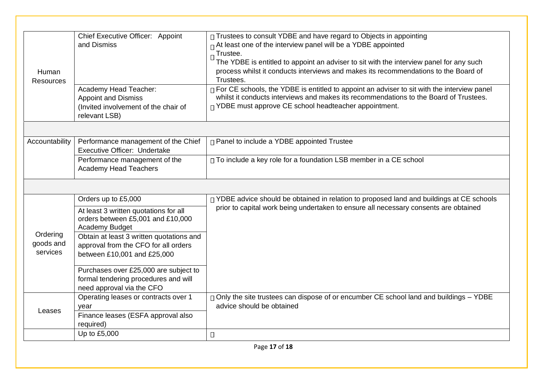| Human<br><b>Resources</b>         | Chief Executive Officer: Appoint<br>and Dismiss                                                                 | □ Trustees to consult YDBE and have regard to Objects in appointing<br>$\Box$ At least one of the interview panel will be a YDBE appointed<br>Trustee.<br>The YDBE is entitled to appoint an adviser to sit with the interview panel for any such<br>process whilst it conducts interviews and makes its recommendations to the Board of<br>Trustees. |
|-----------------------------------|-----------------------------------------------------------------------------------------------------------------|-------------------------------------------------------------------------------------------------------------------------------------------------------------------------------------------------------------------------------------------------------------------------------------------------------------------------------------------------------|
|                                   | Academy Head Teacher:<br><b>Appoint and Dismiss</b><br>(Invited involvement of the chair of<br>relevant LSB)    | □ For CE schools, the YDBE is entitled to appoint an adviser to sit with the interview panel<br>whilst it conducts interviews and makes its recommendations to the Board of Trustees.<br>$\Box$ YDBE must approve CE school headteacher appointment.                                                                                                  |
|                                   |                                                                                                                 |                                                                                                                                                                                                                                                                                                                                                       |
| Accountability                    | Performance management of the Chief<br>Executive Officer: Undertake                                             | □ Panel to include a YDBE appointed Trustee                                                                                                                                                                                                                                                                                                           |
|                                   | Performance management of the<br><b>Academy Head Teachers</b>                                                   | □ To include a key role for a foundation LSB member in a CE school                                                                                                                                                                                                                                                                                    |
|                                   |                                                                                                                 |                                                                                                                                                                                                                                                                                                                                                       |
|                                   | Orders up to £5,000                                                                                             | □ YDBE advice should be obtained in relation to proposed land and buildings at CE schools<br>prior to capital work being undertaken to ensure all necessary consents are obtained                                                                                                                                                                     |
|                                   | At least 3 written quotations for all                                                                           |                                                                                                                                                                                                                                                                                                                                                       |
|                                   | orders between £5,001 and £10,000<br>Academy Budget                                                             |                                                                                                                                                                                                                                                                                                                                                       |
| Ordering<br>goods and<br>services | Obtain at least 3 written quotations and<br>approval from the CFO for all orders<br>between £10,001 and £25,000 |                                                                                                                                                                                                                                                                                                                                                       |
|                                   | Purchases over £25,000 are subject to<br>formal tendering procedures and will<br>need approval via the CFO      |                                                                                                                                                                                                                                                                                                                                                       |
|                                   | Operating leases or contracts over 1<br>year                                                                    | □ Only the site trustees can dispose of or encumber CE school land and buildings – YDBE<br>advice should be obtained                                                                                                                                                                                                                                  |
| Leases                            | Finance leases (ESFA approval also<br>required)                                                                 |                                                                                                                                                                                                                                                                                                                                                       |